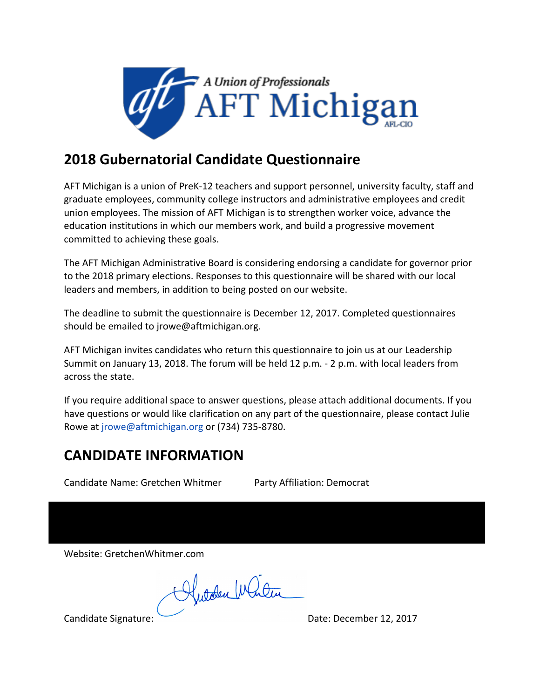

## **2018 Gubernatorial Candidate Questionnaire**

AFT Michigan is a union of PreK-12 teachers and support personnel, university faculty, staff and graduate employees, community college instructors and administrative employees and credit union employees. The mission of AFT Michigan is to strengthen worker voice, advance the education institutions in which our members work, and build a progressive movement committed to achieving these goals.

The AFT Michigan Administrative Board is considering endorsing a candidate for governor prior to the 2018 primary elections. Responses to this questionnaire will be shared with our local leaders and members, in addition to being posted on our website.

The deadline to submit the questionnaire is December 12, 2017. Completed questionnaires should be emailed to jrowe@aftmichigan.org.

AFT Michigan invites candidates who return this questionnaire to join us at our Leadership Summit on January 13, 2018. The forum will be held 12 p.m. - 2 p.m. with local leaders from across the state.

If you require additional space to answer questions, please attach additional documents. If you have questions or would like clarification on any part of the questionnaire, please contact Julie Rowe at jrowe@aftmichigan.org or (734) 735-8780.

## **CANDIDATE INFORMATION**

Candidate Name: Gretchen Whitmer Party Affiliation: Democrat

Website: GretchenWhitmer.com

Autoben Window

Candidate Signature: <u>Canadian Burgessen and Date:</u> December 12, 2017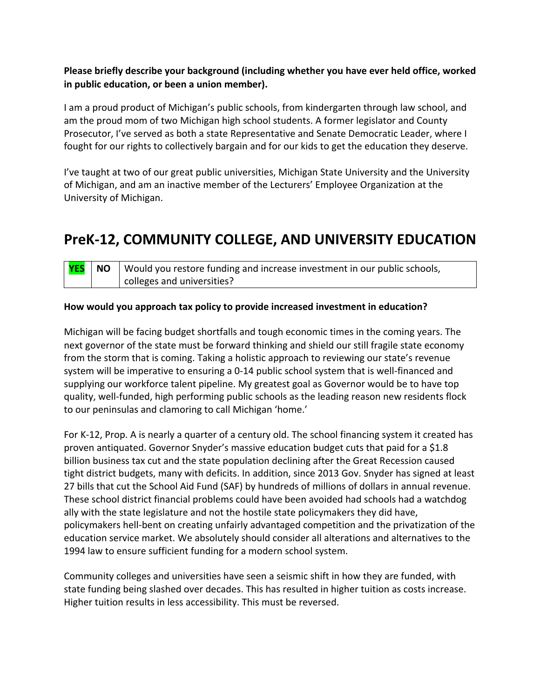### Please briefly describe your background (including whether you have ever held office, worked **in public education, or been a union member).**

I am a proud product of Michigan's public schools, from kindergarten through law school, and am the proud mom of two Michigan high school students. A former legislator and County Prosecutor, I've served as both a state Representative and Senate Democratic Leader, where I fought for our rights to collectively bargain and for our kids to get the education they deserve.

I've taught at two of our great public universities, Michigan State University and the University of Michigan, and am an inactive member of the Lecturers' Employee Organization at the University of Michigan.

### **PreK-12, COMMUNITY COLLEGE, AND UNIVERSITY EDUCATION**

| <b>YES</b> | $\mid$ NO $\mid$ Would you restore funding and increase investment in our public schools, |
|------------|-------------------------------------------------------------------------------------------|
|            | colleges and universities?                                                                |

#### How would you approach tax policy to provide increased investment in education?

Michigan will be facing budget shortfalls and tough economic times in the coming years. The next governor of the state must be forward thinking and shield our still fragile state economy from the storm that is coming. Taking a holistic approach to reviewing our state's revenue system will be imperative to ensuring a 0-14 public school system that is well-financed and supplying our workforce talent pipeline. My greatest goal as Governor would be to have top quality, well-funded, high performing public schools as the leading reason new residents flock to our peninsulas and clamoring to call Michigan 'home.'

For K-12, Prop. A is nearly a quarter of a century old. The school financing system it created has proven antiquated. Governor Snyder's massive education budget cuts that paid for a  $$1.8$ billion business tax cut and the state population declining after the Great Recession caused tight district budgets, many with deficits. In addition, since 2013 Gov. Snyder has signed at least 27 bills that cut the School Aid Fund (SAF) by hundreds of millions of dollars in annual revenue. These school district financial problems could have been avoided had schools had a watchdog ally with the state legislature and not the hostile state policymakers they did have, policymakers hell-bent on creating unfairly advantaged competition and the privatization of the education service market. We absolutely should consider all alterations and alternatives to the 1994 law to ensure sufficient funding for a modern school system.

Community colleges and universities have seen a seismic shift in how they are funded, with state funding being slashed over decades. This has resulted in higher tuition as costs increase. Higher tuition results in less accessibility. This must be reversed.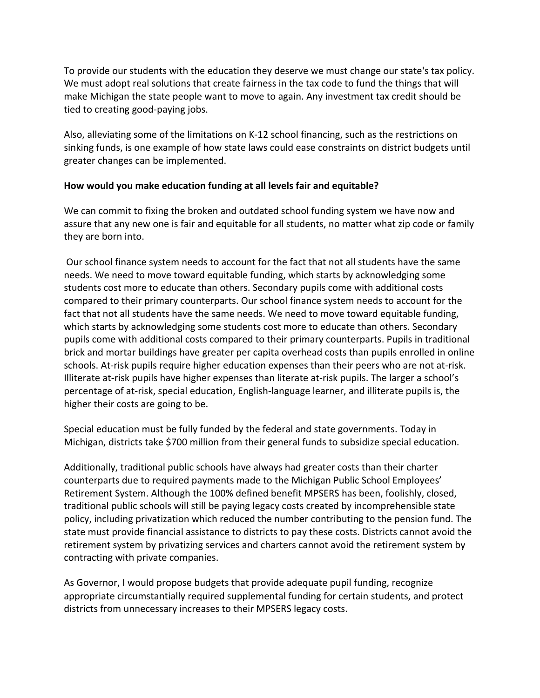To provide our students with the education they deserve we must change our state's tax policy. We must adopt real solutions that create fairness in the tax code to fund the things that will make Michigan the state people want to move to again. Any investment tax credit should be tied to creating good-paying jobs.

Also, alleviating some of the limitations on K-12 school financing, such as the restrictions on sinking funds, is one example of how state laws could ease constraints on district budgets until greater changes can be implemented.

#### How would you make education funding at all levels fair and equitable?

We can commit to fixing the broken and outdated school funding system we have now and assure that any new one is fair and equitable for all students, no matter what zip code or family they are born into.

Our school finance system needs to account for the fact that not all students have the same needs. We need to move toward equitable funding, which starts by acknowledging some students cost more to educate than others. Secondary pupils come with additional costs compared to their primary counterparts. Our school finance system needs to account for the fact that not all students have the same needs. We need to move toward equitable funding, which starts by acknowledging some students cost more to educate than others. Secondary pupils come with additional costs compared to their primary counterparts. Pupils in traditional brick and mortar buildings have greater per capita overhead costs than pupils enrolled in online schools. At-risk pupils require higher education expenses than their peers who are not at-risk. Illiterate at-risk pupils have higher expenses than literate at-risk pupils. The larger a school's percentage of at-risk, special education, English-language learner, and illiterate pupils is, the higher their costs are going to be.

Special education must be fully funded by the federal and state governments. Today in Michigan, districts take \$700 million from their general funds to subsidize special education.

Additionally, traditional public schools have always had greater costs than their charter counterparts due to required payments made to the Michigan Public School Employees' Retirement System. Although the 100% defined benefit MPSERS has been, foolishly, closed, traditional public schools will still be paying legacy costs created by incomprehensible state policy, including privatization which reduced the number contributing to the pension fund. The state must provide financial assistance to districts to pay these costs. Districts cannot avoid the retirement system by privatizing services and charters cannot avoid the retirement system by contracting with private companies.

As Governor, I would propose budgets that provide adequate pupil funding, recognize appropriate circumstantially required supplemental funding for certain students, and protect districts from unnecessary increases to their MPSERS legacy costs.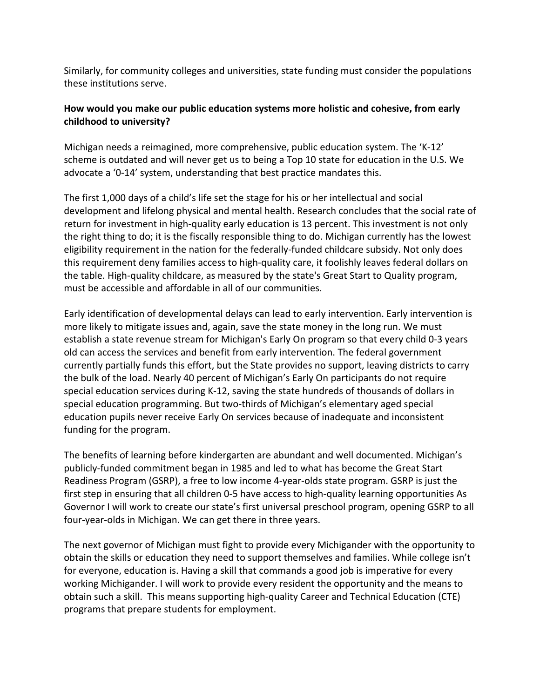Similarly, for community colleges and universities, state funding must consider the populations these institutions serve.

### How would you make our public education systems more holistic and cohesive, from early childhood to university?

Michigan needs a reimagined, more comprehensive, public education system. The 'K-12' scheme is outdated and will never get us to being a Top 10 state for education in the U.S. We advocate a '0-14' system, understanding that best practice mandates this.

The first 1,000 days of a child's life set the stage for his or her intellectual and social development and lifelong physical and mental health. Research concludes that the social rate of return for investment in high-quality early education is 13 percent. This investment is not only the right thing to do; it is the fiscally responsible thing to do. Michigan currently has the lowest eligibility requirement in the nation for the federally-funded childcare subsidy. Not only does this requirement deny families access to high-quality care, it foolishly leaves federal dollars on the table. High-quality childcare, as measured by the state's Great Start to Quality program, must be accessible and affordable in all of our communities.

Early identification of developmental delays can lead to early intervention. Early intervention is more likely to mitigate issues and, again, save the state money in the long run. We must establish a state revenue stream for Michigan's Early On program so that every child 0-3 years old can access the services and benefit from early intervention. The federal government currently partially funds this effort, but the State provides no support, leaving districts to carry the bulk of the load. Nearly 40 percent of Michigan's Early On participants do not require special education services during K-12, saving the state hundreds of thousands of dollars in special education programming. But two-thirds of Michigan's elementary aged special education pupils never receive Early On services because of inadequate and inconsistent funding for the program.

The benefits of learning before kindergarten are abundant and well documented. Michigan's publicly-funded commitment began in 1985 and led to what has become the Great Start Readiness Program (GSRP), a free to low income 4-year-olds state program. GSRP is just the first step in ensuring that all children 0-5 have access to high-quality learning opportunities As Governor I will work to create our state's first universal preschool program, opening GSRP to all four-year-olds in Michigan. We can get there in three years.

The next governor of Michigan must fight to provide every Michigander with the opportunity to obtain the skills or education they need to support themselves and families. While college isn't for everyone, education is. Having a skill that commands a good job is imperative for every working Michigander. I will work to provide every resident the opportunity and the means to obtain such a skill. This means supporting high-quality Career and Technical Education (CTE) programs that prepare students for employment.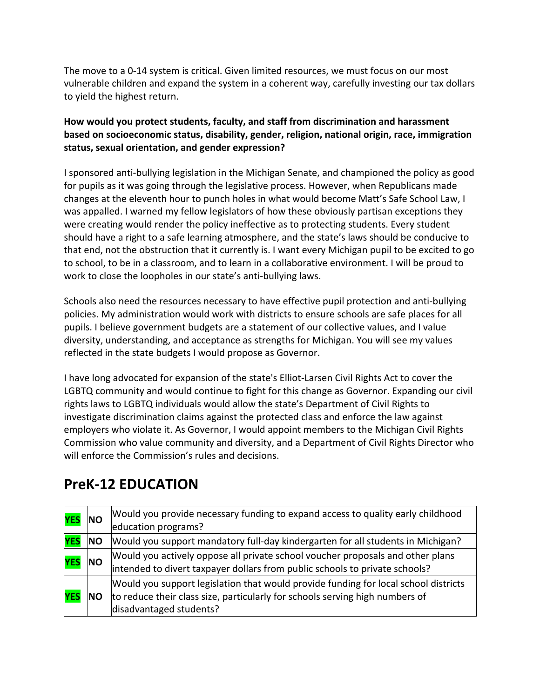The move to a 0-14 system is critical. Given limited resources, we must focus on our most vulnerable children and expand the system in a coherent way, carefully investing our tax dollars to yield the highest return.

### How would you protect students, faculty, and staff from discrimination and harassment **based on socioeconomic status, disability, gender, religion, national origin, race, immigration** status, sexual orientation, and gender expression?

I sponsored anti-bullying legislation in the Michigan Senate, and championed the policy as good for pupils as it was going through the legislative process. However, when Republicans made changes at the eleventh hour to punch holes in what would become Matt's Safe School Law, I was appalled. I warned my fellow legislators of how these obviously partisan exceptions they were creating would render the policy ineffective as to protecting students. Every student should have a right to a safe learning atmosphere, and the state's laws should be conducive to that end, not the obstruction that it currently is. I want every Michigan pupil to be excited to go to school, to be in a classroom, and to learn in a collaborative environment. I will be proud to work to close the loopholes in our state's anti-bullying laws.

Schools also need the resources necessary to have effective pupil protection and anti-bullying policies. My administration would work with districts to ensure schools are safe places for all pupils. I believe government budgets are a statement of our collective values, and I value diversity, understanding, and acceptance as strengths for Michigan. You will see my values reflected in the state budgets I would propose as Governor.

I have long advocated for expansion of the state's Elliot-Larsen Civil Rights Act to cover the LGBTQ community and would continue to fight for this change as Governor. Expanding our civil rights laws to LGBTQ individuals would allow the state's Department of Civil Rights to investigate discrimination claims against the protected class and enforce the law against employers who violate it. As Governor, I would appoint members to the Michigan Civil Rights Commission who value community and diversity, and a Department of Civil Rights Director who will enforce the Commission's rules and decisions.

# **PreK-12 EDUCATION**

| <b>YES</b> | <b>NO</b>  | Would you provide necessary funding to expand access to quality early childhood<br>education programs?                                                                                         |
|------------|------------|------------------------------------------------------------------------------------------------------------------------------------------------------------------------------------------------|
| <b>YES</b> | <b>NO</b>  | Would you support mandatory full-day kindergarten for all students in Michigan?                                                                                                                |
| <b>YES</b> | <b>NO</b>  | Would you actively oppose all private school voucher proposals and other plans<br>intended to divert taxpayer dollars from public schools to private schools?                                  |
| <b>YES</b> | <b>INO</b> | Would you support legislation that would provide funding for local school districts<br>to reduce their class size, particularly for schools serving high numbers of<br>disadvantaged students? |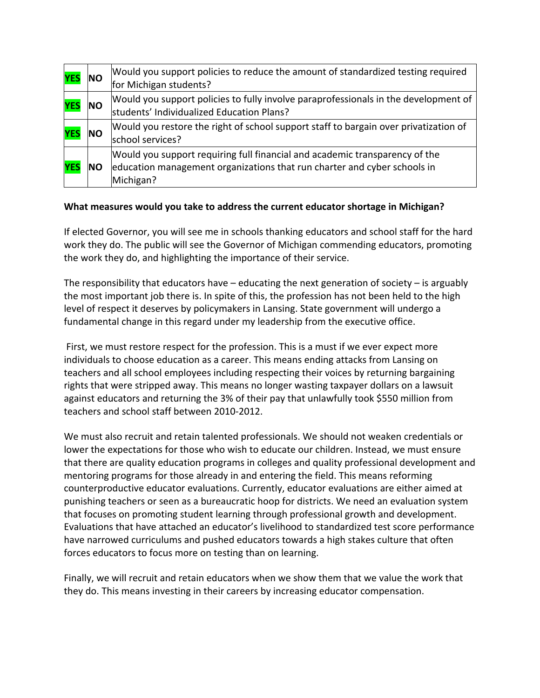| <b>YES</b> | <b>NO</b> | Would you support policies to reduce the amount of standardized testing required<br>for Michigan students?                                                           |
|------------|-----------|----------------------------------------------------------------------------------------------------------------------------------------------------------------------|
| <b>YES</b> | <b>NO</b> | Would you support policies to fully involve paraprofessionals in the development of<br>students' Individualized Education Plans?                                     |
| <b>YES</b> | <b>NO</b> | Would you restore the right of school support staff to bargain over privatization of<br>school services?                                                             |
| <b>YES</b> | ΙNΟ       | Would you support requiring full financial and academic transparency of the<br>education management organizations that run charter and cyber schools in<br>Michigan? |

#### What measures would you take to address the current educator shortage in Michigan?

If elected Governor, you will see me in schools thanking educators and school staff for the hard work they do. The public will see the Governor of Michigan commending educators, promoting the work they do, and highlighting the importance of their service.

The responsibility that educators have  $-$  educating the next generation of society  $-$  is arguably the most important job there is. In spite of this, the profession has not been held to the high level of respect it deserves by policymakers in Lansing. State government will undergo a fundamental change in this regard under my leadership from the executive office.

First, we must restore respect for the profession. This is a must if we ever expect more individuals to choose education as a career. This means ending attacks from Lansing on teachers and all school employees including respecting their voices by returning bargaining rights that were stripped away. This means no longer wasting taxpayer dollars on a lawsuit against educators and returning the 3% of their pay that unlawfully took \$550 million from teachers and school staff between 2010-2012.

We must also recruit and retain talented professionals. We should not weaken credentials or lower the expectations for those who wish to educate our children. Instead, we must ensure that there are quality education programs in colleges and quality professional development and mentoring programs for those already in and entering the field. This means reforming counterproductive educator evaluations. Currently, educator evaluations are either aimed at punishing teachers or seen as a bureaucratic hoop for districts. We need an evaluation system that focuses on promoting student learning through professional growth and development. Evaluations that have attached an educator's livelihood to standardized test score performance have narrowed curriculums and pushed educators towards a high stakes culture that often forces educators to focus more on testing than on learning.

Finally, we will recruit and retain educators when we show them that we value the work that they do. This means investing in their careers by increasing educator compensation.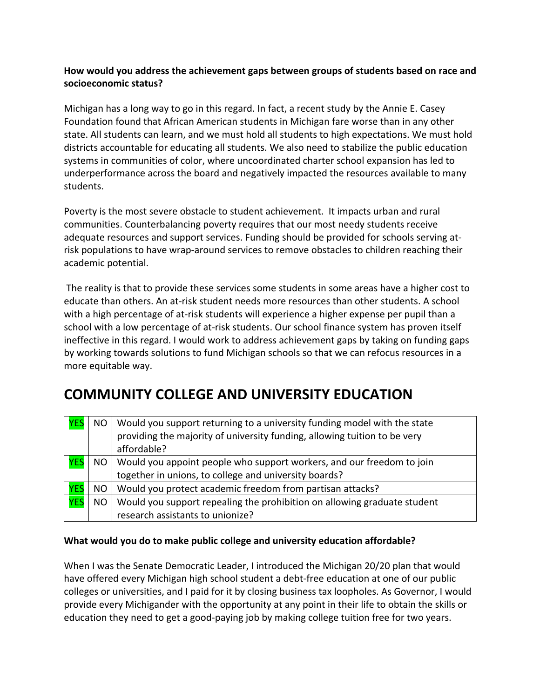### How would you address the achievement gaps between groups of students based on race and socioeconomic status?

Michigan has a long way to go in this regard. In fact, a recent study by the Annie E. Casey Foundation found that African American students in Michigan fare worse than in any other state. All students can learn, and we must hold all students to high expectations. We must hold districts accountable for educating all students. We also need to stabilize the public education systems in communities of color, where uncoordinated charter school expansion has led to underperformance across the board and negatively impacted the resources available to many students.

Poverty is the most severe obstacle to student achievement. It impacts urban and rural communities. Counterbalancing poverty requires that our most needy students receive adequate resources and support services. Funding should be provided for schools serving atrisk populations to have wrap-around services to remove obstacles to children reaching their academic potential.

The reality is that to provide these services some students in some areas have a higher cost to educate than others. An at-risk student needs more resources than other students. A school with a high percentage of at-risk students will experience a higher expense per pupil than a school with a low percentage of at-risk students. Our school finance system has proven itself ineffective in this regard. I would work to address achievement gaps by taking on funding gaps by working towards solutions to fund Michigan schools so that we can refocus resources in a more equitable way.

## **COMMUNITY COLLEGE AND UNIVERSITY EDUCATION**

| <b>YES</b> | <b>NO</b> | Would you support returning to a university funding model with the state  |
|------------|-----------|---------------------------------------------------------------------------|
|            |           | providing the majority of university funding, allowing tuition to be very |
|            |           | affordable?                                                               |
| <b>YES</b> | <b>NO</b> | Would you appoint people who support workers, and our freedom to join     |
|            |           | together in unions, to college and university boards?                     |
| <b>YES</b> | <b>NO</b> | Would you protect academic freedom from partisan attacks?                 |
| <b>YES</b> | <b>NO</b> | Would you support repealing the prohibition on allowing graduate student  |
|            |           | research assistants to unionize?                                          |

#### What would you do to make public college and university education affordable?

When I was the Senate Democratic Leader, I introduced the Michigan 20/20 plan that would have offered every Michigan high school student a debt-free education at one of our public colleges or universities, and I paid for it by closing business tax loopholes. As Governor, I would provide every Michigander with the opportunity at any point in their life to obtain the skills or education they need to get a good-paying job by making college tuition free for two years.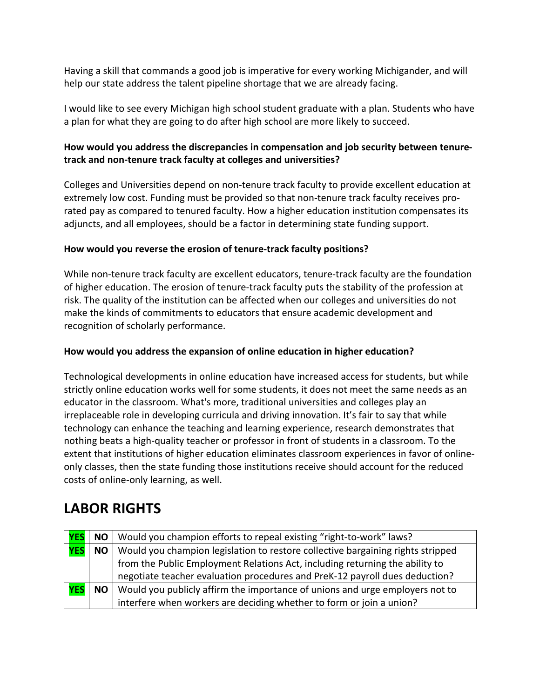Having a skill that commands a good job is imperative for every working Michigander, and will help our state address the talent pipeline shortage that we are already facing.

I would like to see every Michigan high school student graduate with a plan. Students who have a plan for what they are going to do after high school are more likely to succeed.

### How would you address the discrepancies in compensation and job security between tenuretrack and non-tenure track faculty at colleges and universities?

Colleges and Universities depend on non-tenure track faculty to provide excellent education at extremely low cost. Funding must be provided so that non-tenure track faculty receives prorated pay as compared to tenured faculty. How a higher education institution compensates its adjuncts, and all employees, should be a factor in determining state funding support.

#### How would you reverse the erosion of tenure-track faculty positions?

While non-tenure track faculty are excellent educators, tenure-track faculty are the foundation of higher education. The erosion of tenure-track faculty puts the stability of the profession at risk. The quality of the institution can be affected when our colleges and universities do not make the kinds of commitments to educators that ensure academic development and recognition of scholarly performance.

### How would you address the expansion of online education in higher education?

Technological developments in online education have increased access for students, but while strictly online education works well for some students, it does not meet the same needs as an educator in the classroom. What's more, traditional universities and colleges play an irreplaceable role in developing curricula and driving innovation. It's fair to say that while technology can enhance the teaching and learning experience, research demonstrates that nothing beats a high-quality teacher or professor in front of students in a classroom. To the extent that institutions of higher education eliminates classroom experiences in favor of onlineonly classes, then the state funding those institutions receive should account for the reduced costs of online-only learning, as well.

## LABOR RIGHTS

|            |           | NO   Would you champion efforts to repeal existing "right-to-work" laws?        |
|------------|-----------|---------------------------------------------------------------------------------|
| <b>YES</b> | <b>NO</b> | Would you champion legislation to restore collective bargaining rights stripped |
|            |           | from the Public Employment Relations Act, including returning the ability to    |
|            |           | negotiate teacher evaluation procedures and PreK-12 payroll dues deduction?     |
| <b>YES</b> | <b>NO</b> | Would you publicly affirm the importance of unions and urge employers not to    |
|            |           | interfere when workers are deciding whether to form or join a union?            |